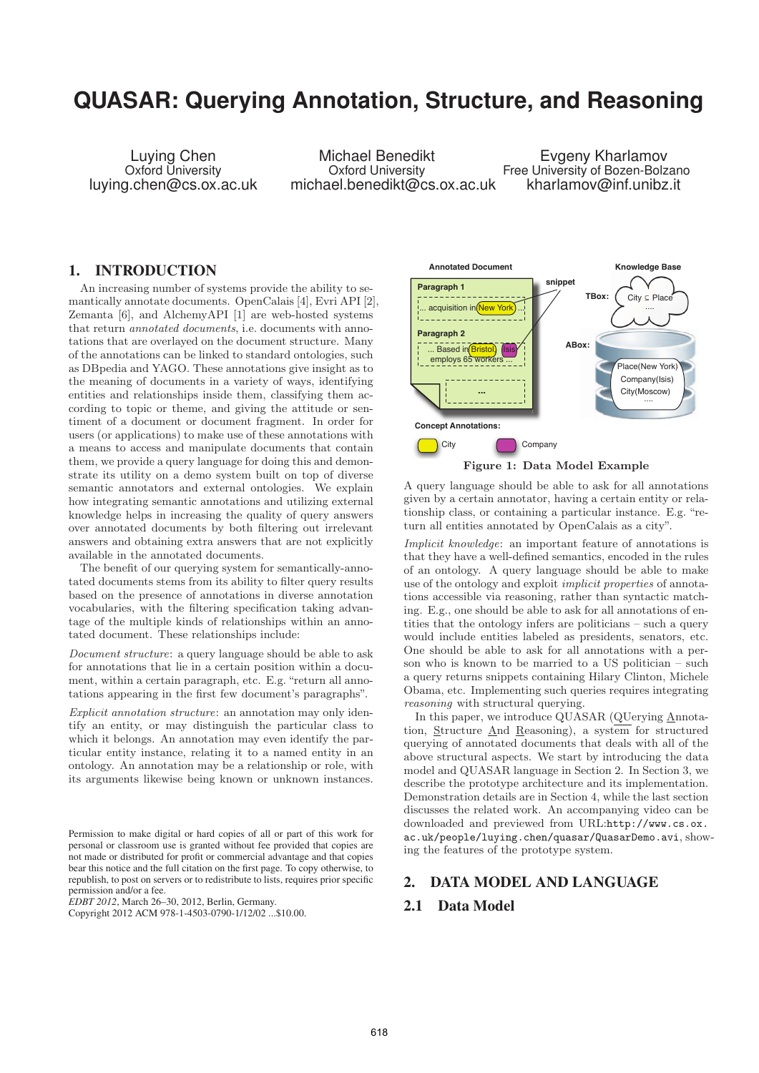# **QUASAR: Querying Annotation, Structure, and Reasoning**

Luying Chen Oxford University luying.chen@cs.ox.ac.uk

Michael Benedikt Oxford University michael.benedikt@cs.ox.ac.uk

Evgeny Kharlamov Free University of Bozen-Bolzano kharlamov@inf.unibz.it

## 1. INTRODUCTION

An increasing number of systems provide the ability to semantically annotate documents. OpenCalais [4], Evri API [2], Zemanta [6], and AlchemyAPI [1] are web-hosted systems that return annotated documents, i.e. documents with annotations that are overlayed on the document structure. Many of the annotations can be linked to standard ontologies, such as DBpedia and YAGO. These annotations give insight as to the meaning of documents in a variety of ways, identifying entities and relationships inside them, classifying them according to topic or theme, and giving the attitude or sentiment of a document or document fragment. In order for users (or applications) to make use of these annotations with a means to access and manipulate documents that contain them, we provide a query language for doing this and demonstrate its utility on a demo system built on top of diverse semantic annotators and external ontologies. We explain how integrating semantic annotations and utilizing external knowledge helps in increasing the quality of query answers over annotated documents by both filtering out irrelevant answers and obtaining extra answers that are not explicitly available in the annotated documents.

The benefit of our querying system for semantically-annotated documents stems from its ability to filter query results based on the presence of annotations in diverse annotation vocabularies, with the filtering specification taking advantage of the multiple kinds of relationships within an annotated document. These relationships include:

Document structure: a query language should be able to ask for annotations that lie in a certain position within a document, within a certain paragraph, etc. E.g. "return all annotations appearing in the first few document's paragraphs".

Explicit annotation structure: an annotation may only identify an entity, or may distinguish the particular class to which it belongs. An annotation may even identify the particular entity instance, relating it to a named entity in an ontology. An annotation may be a relationship or role, with its arguments likewise being known or unknown instances.

*EDBT 2012*, March 26–30, 2012, Berlin, Germany.



A query language should be able to ask for all annotations given by a certain annotator, having a certain entity or relationship class, or containing a particular instance. E.g. "return all entities annotated by OpenCalais as a city".

Implicit knowledge: an important feature of annotations is that they have a well-defined semantics, encoded in the rules of an ontology. A query language should be able to make use of the ontology and exploit implicit properties of annotations accessible via reasoning, rather than syntactic matching. E.g., one should be able to ask for all annotations of entities that the ontology infers are politicians – such a query would include entities labeled as presidents, senators, etc. One should be able to ask for all annotations with a person who is known to be married to a US politician – such a query returns snippets containing Hilary Clinton, Michele Obama, etc. Implementing such queries requires integrating reasoning with structural querying.

In this paper, we introduce QUASAR (QUerying Annotation, Structure And Reasoning), a system for structured querying of annotated documents that deals with all of the above structural aspects. We start by introducing the data model and QUASAR language in Section 2. In Section 3, we describe the prototype architecture and its implementation. Demonstration details are in Section 4, while the last section discusses the related work. An accompanying video can be downloaded and previewed from URL:http://www.cs.ox. ac.uk/people/luying.chen/quasar/QuasarDemo.avi, showing the features of the prototype system.

#### 2. DATA MODEL AND LANGUAGE

## 2.1 Data Model

Permission to make digital or hard copies of all or part of this work for personal or classroom use is granted without fee provided that copies are not made or distributed for profit or commercial advantage and that copies bear this notice and the full citation on the first page. To copy otherwise, to republish, to post on servers or to redistribute to lists, requires prior specific permission and/or a fee.

Copyright 2012 ACM 978-1-4503-0790-1/12/02 ...\$10.00.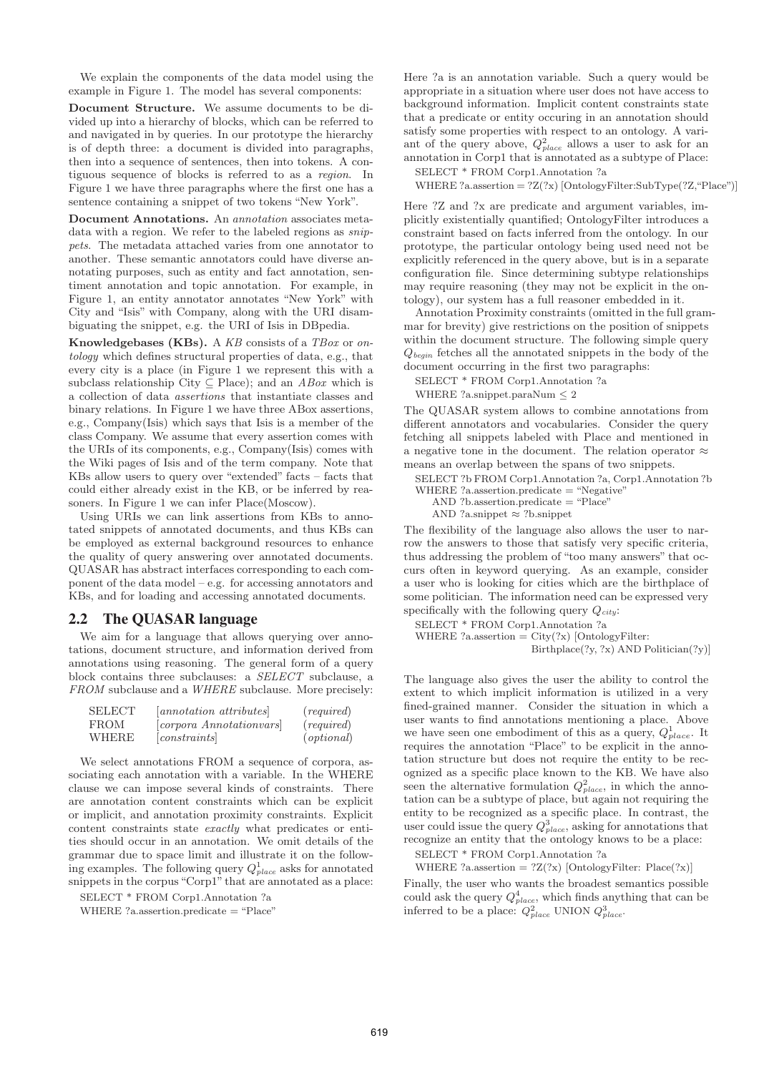We explain the components of the data model using the example in Figure 1. The model has several components:

**Document Structure.** We assume documents to be divided up into a hierarchy of blocks, which can be referred to and navigated in by queries. In our prototype the hierarchy is of depth three: a document is divided into paragraphs, then into a sequence of sentences, then into tokens. A contiguous sequence of blocks is referred to as a region. In Figure 1 we have three paragraphs where the first one has a sentence containing a snippet of two tokens "New York".

**Document Annotations.** An annotation associates metadata with a region. We refer to the labeled regions as  $snip$ pets. The metadata attached varies from one annotator to another. These semantic annotators could have diverse annotating purposes, such as entity and fact annotation, sentiment annotation and topic annotation. For example, in Figure 1, an entity annotator annotates "New York" with City and "Isis" with Company, along with the URI disambiguating the snippet, e.g. the URI of Isis in DBpedia.

**Knowledgebases (KBs).** A KB consists of a TBox or ontology which defines structural properties of data, e.g., that every city is a place (in Figure 1 we represent this with a subclass relationship City  $\subseteq$  Place); and an *ABox* which is a collection of data assertions that instantiate classes and binary relations. In Figure 1 we have three ABox assertions, e.g., Company(Isis) which says that Isis is a member of the class Company. We assume that every assertion comes with the URIs of its components, e.g., Company(Isis) comes with the Wiki pages of Isis and of the term company. Note that KBs allow users to query over "extended" facts – facts that could either already exist in the KB, or be inferred by reasoners. In Figure 1 we can infer Place(Moscow).

Using URIs we can link assertions from KBs to annotated snippets of annotated documents, and thus KBs can be employed as external background resources to enhance the quality of query answering over annotated documents. QUASAR has abstract interfaces corresponding to each component of the data model – e.g. for accessing annotators and KBs, and for loading and accessing annotated documents.

#### 2.2 The QUASAR language

We aim for a language that allows querying over annotations, document structure, and information derived from annotations using reasoning. The general form of a query block contains three subclauses: a SELECT subclause, a FROM subclause and a WHERE subclause. More precisely:

| SELECT | annotation attributes         | $(\textit{required})$ |
|--------|-------------------------------|-----------------------|
| FROM   | <i>corpora Annotationvars</i> | $(\textit{required})$ |
| WHERE  | constants                     | (optional)            |

We select annotations FROM a sequence of corpora, associating each annotation with a variable. In the WHERE clause we can impose several kinds of constraints. There are annotation content constraints which can be explicit or implicit, and annotation proximity constraints. Explicit content constraints state exactly what predicates or entities should occur in an annotation. We omit details of the grammar due to space limit and illustrate it on the following examples. The following query  $Q_{place}^1$  asks for annotated<br>compacts in the corpus "Corp1" that are annotated as a place: snippets in the corpus "Corp1" that are annotated as a place:

SELECT \* FROM Corp1.Annotation ?a WHERE ?a.assertion.predicate = "Place" Here ?a is an annotation variable. Such a query would be appropriate in a situation where user does not have access to background information. Implicit content constraints state that a predicate or entity occuring in an annotation should satisfy some properties with respect to an ontology. A variant of the query above,  $Q_{place}^2$  allows a user to ask for an<br>expectation in Count that is approached as a subtrace of Place annotation in Corp1 that is annotated as a subtype of Place:

SELECT \* FROM Corp1.Annotation ?a

WHERE ?a.assertion  $=$  ?Z(?x) [OntologyFilter:SubType(?Z, "Place")]

Here ?Z and ?x are predicate and argument variables, implicitly existentially quantified; OntologyFilter introduces a constraint based on facts inferred from the ontology. In our prototype, the particular ontology being used need not be explicitly referenced in the query above, but is in a separate configuration file. Since determining subtype relationships may require reasoning (they may not be explicit in the ontology), our system has a full reasoner embedded in it.

Annotation Proximity constraints (omitted in the full grammar for brevity) give restrictions on the position of snippets within the document structure. The following simple query <sup>Q</sup>*begin* fetches all the annotated snippets in the body of the document occurring in the first two paragraphs:

SELECT \* FROM Corp1.Annotation ?a

WHERE ?a.snippet.paraNum  $\leq$  2

The QUASAR system allows to combine annotations from different annotators and vocabularies. Consider the query fetching all snippets labeled with Place and mentioned in a negative tone in the document. The relation operator  $\approx$ means an overlap between the spans of two snippets.

SELECT ?b FROM Corp1.Annotation ?a, Corp1.Annotation ?b

- WHERE ?a.assertion.predicate = "Negative"
	- AND ?b.assertion.predicate = "Place"

AND ?a.snippet ≈ ?b.snippet

The flexibility of the language also allows the user to narrow the answers to those that satisfy very specific criteria, thus addressing the problem of "too many answers" that occurs often in keyword querying. As an example, consider a user who is looking for cities which are the birthplace of some politician. The information need can be expressed very specifically with the following query <sup>Q</sup>*city*:

SELECT \* FROM Corp1.Annotation ?a WHERE ?a.assertion  $= \text{City}(?x)$  [OntologyFilter:

```
Birthplace(?y, ?x) AND Politician(?y)]
```
The language also gives the user the ability to control the extent to which implicit information is utilized in a very fined-grained manner. Consider the situation in which a user wants to find annotations mentioning a place. Above we have seen one embodiment of this as a query,  $Q_{place}^1$ . It requires the annotation "Place" to be explicit in the annotation structure but does not require the entity to be recognized as a specific place known to the KB. We have also seen the alternative formulation  $Q_{place}^2$ , in which the anno-<br>tation can be a subture of place, but again not requiring the tation can be a subtype of place, but again not requiring the entity to be recognized as a specific place. In contrast, the user could issue the query  $Q_{place}^3$ , asking for annotations that<br>**processing** an entity that the ortal party to be a place. recognize an entity that the ontology knows to be a place:

SELECT \* FROM Corp1.Annotation ?a

WHERE ?a.assertion =  $2Z(2x)$  [OntologyFilter: Place(?x)]

Finally, the user who wants the broadest semantics possible could ask the query  $Q_{place}^4$ , which finds anything that can be inferred to be a place:  $Q_{place}^2$  UNION  $Q_{place}^3$ .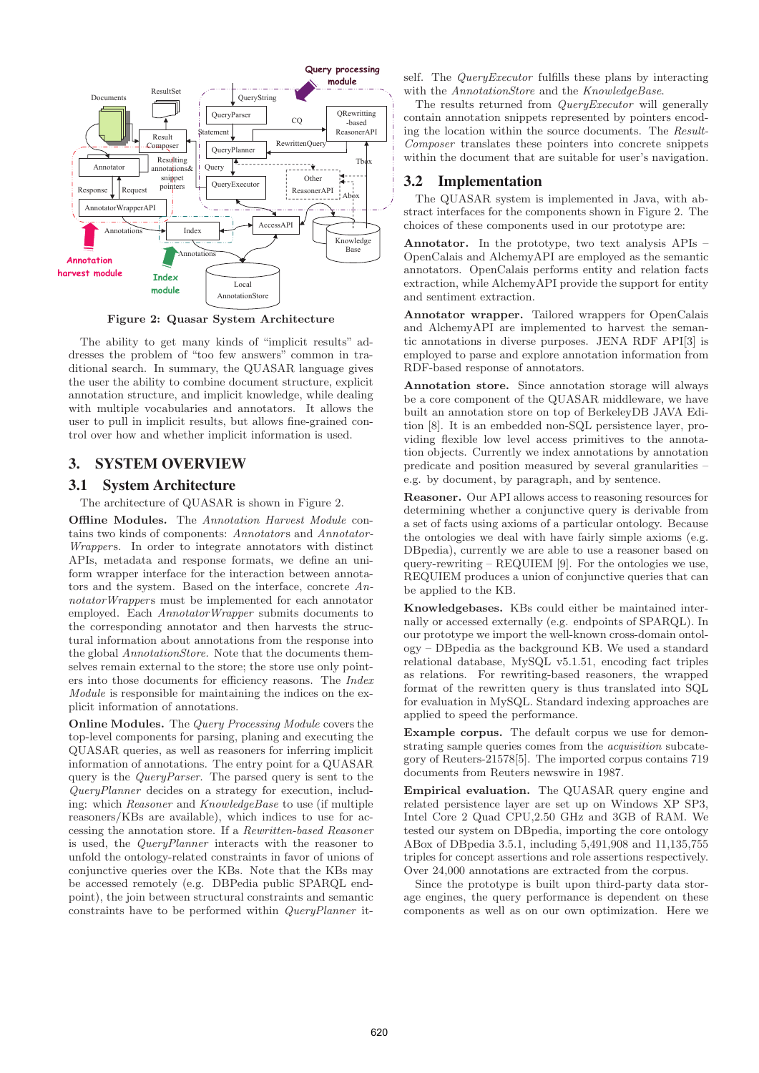

**Figure 2: Quasar System Architecture**

The ability to get many kinds of "implicit results" addresses the problem of "too few answers" common in traditional search. In summary, the QUASAR language gives the user the ability to combine document structure, explicit annotation structure, and implicit knowledge, while dealing with multiple vocabularies and annotators. It allows the user to pull in implicit results, but allows fine-grained control over how and whether implicit information is used.

## 3. SYSTEM OVERVIEW

#### 3.1 System Architecture

The architecture of QUASAR is shown in Figure 2.

**Offline Modules.** The Annotation Harvest Module contains two kinds of components: Annotators and Annotator-Wrappers. In order to integrate annotators with distinct APIs, metadata and response formats, we define an uniform wrapper interface for the interaction between annotators and the system. Based on the interface, concrete AnnotatorWrappers must be implemented for each annotator employed. Each AnnotatorWrapper submits documents to the corresponding annotator and then harvests the structural information about annotations from the response into the global AnnotationStore. Note that the documents themselves remain external to the store; the store use only pointers into those documents for efficiency reasons. The Index Module is responsible for maintaining the indices on the explicit information of annotations.

**Online Modules.** The Query Processing Module covers the top-level components for parsing, planing and executing the QUASAR queries, as well as reasoners for inferring implicit information of annotations. The entry point for a QUASAR query is the *QueryParser*. The parsed query is sent to the QueryPlanner decides on a strategy for execution, including: which Reasoner and KnowledgeBase to use (if multiple reasoners/KBs are available), which indices to use for accessing the annotation store. If a Rewritten-based Reasoner is used, the QueryPlanner interacts with the reasoner to unfold the ontology-related constraints in favor of unions of conjunctive queries over the KBs. Note that the KBs may be accessed remotely (e.g. DBPedia public SPARQL endpoint), the join between structural constraints and semantic constraints have to be performed within QueryPlanner itself. The *QueryExecutor* fulfills these plans by interacting with the AnnotationStore and the KnowledgeBase.

The results returned from *QueryExecutor* will generally contain annotation snippets represented by pointers encoding the location within the source documents. The Result-Composer translates these pointers into concrete snippets within the document that are suitable for user's navigation.

#### 3.2 Implementation

The QUASAR system is implemented in Java, with abstract interfaces for the components shown in Figure 2. The choices of these components used in our prototype are:

**Annotator.** In the prototype, two text analysis APIs – OpenCalais and AlchemyAPI are employed as the semantic annotators. OpenCalais performs entity and relation facts extraction, while AlchemyAPI provide the support for entity and sentiment extraction.

**Annotator wrapper.** Tailored wrappers for OpenCalais and AlchemyAPI are implemented to harvest the semantic annotations in diverse purposes. JENA RDF API[3] is employed to parse and explore annotation information from RDF-based response of annotators.

**Annotation store.** Since annotation storage will always be a core component of the QUASAR middleware, we have built an annotation store on top of BerkeleyDB JAVA Edition [8]. It is an embedded non-SQL persistence layer, providing flexible low level access primitives to the annotation objects. Currently we index annotations by annotation predicate and position measured by several granularities – e.g. by document, by paragraph, and by sentence.

**Reasoner.** Our API allows access to reasoning resources for determining whether a conjunctive query is derivable from a set of facts using axioms of a particular ontology. Because the ontologies we deal with have fairly simple axioms (e.g. DBpedia), currently we are able to use a reasoner based on query-rewriting – REQUIEM [9]. For the ontologies we use, REQUIEM produces a union of conjunctive queries that can be applied to the KB.

**Knowledgebases.** KBs could either be maintained internally or accessed externally (e.g. endpoints of SPARQL). In our prototype we import the well-known cross-domain ontology – DBpedia as the background KB. We used a standard relational database, MySQL v5.1.51, encoding fact triples as relations. For rewriting-based reasoners, the wrapped format of the rewritten query is thus translated into SQL for evaluation in MySQL. Standard indexing approaches are applied to speed the performance.

**Example corpus.** The default corpus we use for demonstrating sample queries comes from the acquisition subcategory of Reuters-21578[5]. The imported corpus contains 719 documents from Reuters newswire in 1987.

**Empirical evaluation.** The QUASAR query engine and related persistence layer are set up on Windows XP SP3, Intel Core 2 Quad CPU,2.50 GHz and 3GB of RAM. We tested our system on DBpedia, importing the core ontology ABox of DBpedia 3.5.1, including 5,491,908 and 11,135,755 triples for concept assertions and role assertions respectively. Over 24,000 annotations are extracted from the corpus.

Since the prototype is built upon third-party data storage engines, the query performance is dependent on these components as well as on our own optimization. Here we